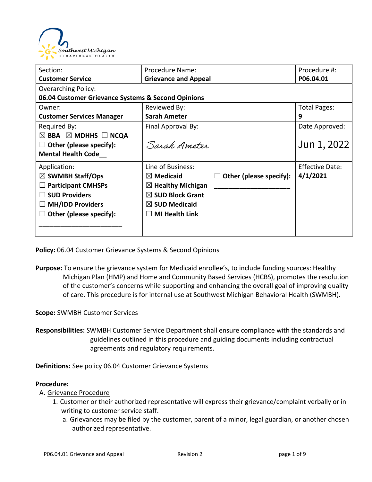

| Section:                                           | Procedure Name:                                 | Procedure #:           |  |  |  |
|----------------------------------------------------|-------------------------------------------------|------------------------|--|--|--|
| <b>Customer Service</b>                            | <b>Grievance and Appeal</b>                     | P06.04.01              |  |  |  |
| <b>Overarching Policy:</b>                         |                                                 |                        |  |  |  |
| 06.04 Customer Grievance Systems & Second Opinions |                                                 |                        |  |  |  |
| Owner:                                             | Reviewed By:                                    | <b>Total Pages:</b>    |  |  |  |
| <b>Customer Services Manager</b>                   | <b>Sarah Ameter</b>                             | 9                      |  |  |  |
| Required By:                                       | Final Approval By:                              | Date Approved:         |  |  |  |
| $\boxtimes$ BBA $\boxtimes$ MDHHS $\Box$ NCQA      |                                                 |                        |  |  |  |
| Other (please specify):                            | Sarah Amoton                                    | Jun 1, 2022            |  |  |  |
| <b>Mental Health Code</b>                          |                                                 |                        |  |  |  |
| Application:                                       | Line of Business:                               | <b>Effective Date:</b> |  |  |  |
| $\boxtimes$ SWMBH Staff/Ops                        | Other (please specify):<br>$\boxtimes$ Medicaid | 4/1/2021               |  |  |  |
| <b>Participant CMHSPs</b>                          | $\boxtimes$ Healthy Michigan                    |                        |  |  |  |
| <b>SUD Providers</b>                               | $\boxtimes$ SUD Block Grant                     |                        |  |  |  |
| <b>MH/IDD Providers</b>                            | $\boxtimes$ SUD Medicaid                        |                        |  |  |  |
| Other (please specify):                            | <b>MI Health Link</b>                           |                        |  |  |  |
|                                                    |                                                 |                        |  |  |  |
|                                                    |                                                 |                        |  |  |  |

**Policy:** 06.04 Customer Grievance Systems & Second Opinions

**Purpose:** To ensure the grievance system for Medicaid enrollee's, to include funding sources: Healthy Michigan Plan (HMP) and Home and Community Based Services (HCBS), promotes the resolution of the customer's concerns while supporting and enhancing the overall goal of improving quality of care. This procedure is for internal use at Southwest Michigan Behavioral Health (SWMBH).

**Scope:** SWMBH Customer Services

**Responsibilities:** SWMBH Customer Service Department shall ensure compliance with the standards and guidelines outlined in this procedure and guiding documents including contractual agreements and regulatory requirements.

**Definitions:** See policy 06.04 Customer Grievance Systems

### **Procedure:**

### A. Grievance Procedure

- 1. Customer or their authorized representative will express their grievance/complaint verbally or in writing to customer service staff.
	- a. Grievances may be filed by the customer, parent of a minor, legal guardian, or another chosen authorized representative.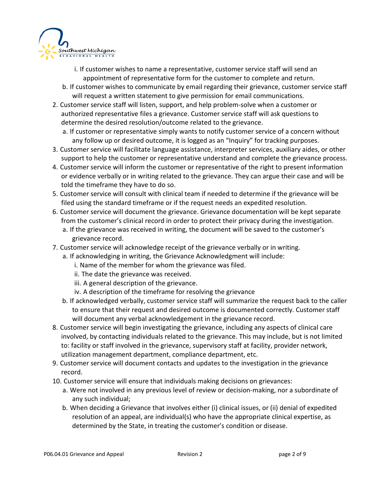

- i. If customer wishes to name a representative, customer service staff will send an appointment of representative form for the customer to complete and return.
- b. If customer wishes to communicate by email regarding their grievance, customer service staff will request a written statement to give permission for email communications.
- 2. Customer service staff will listen, support, and help problem-solve when a customer or authorized representative files a grievance. Customer service staff will ask questions to determine the desired resolution/outcome related to the grievance.
	- a. If customer or representative simply wants to notify customer service of a concern without any follow up or desired outcome, it is logged as an "Inquiry" for tracking purposes.
- 3. Customer service will facilitate language assistance, interpreter services, auxiliary aides, or other support to help the customer or representative understand and complete the grievance process.
- 4. Customer service will inform the customer or representative of the right to present information or evidence verbally or in writing related to the grievance. They can argue their case and will be told the timeframe they have to do so.
- 5. Customer service will consult with clinical team if needed to determine if the grievance will be filed using the standard timeframe or if the request needs an expedited resolution.
- 6. Customer service will document the grievance. Grievance documentation will be kept separate from the customer's clinical record in order to protect their privacy during the investigation.
	- a. If the grievance was received in writing, the document will be saved to the customer's grievance record.
- 7. Customer service will acknowledge receipt of the grievance verbally or in writing.
	- a. If acknowledging in writing, the Grievance Acknowledgment will include:
		- i. Name of the member for whom the grievance was filed.
		- ii. The date the grievance was received.
		- iii. A general description of the grievance.
		- iv. A description of the timeframe for resolving the grievance
	- b. If acknowledged verbally, customer service staff will summarize the request back to the caller to ensure that their request and desired outcome is documented correctly. Customer staff will document any verbal acknowledgement in the grievance record.
- 8. Customer service will begin investigating the grievance, including any aspects of clinical care involved, by contacting individuals related to the grievance. This may include, but is not limited to: facility or staff involved in the grievance, supervisory staff at facility, provider network, utilization management department, compliance department, etc.
- 9. Customer service will document contacts and updates to the investigation in the grievance record.
- 10. Customer service will ensure that individuals making decisions on grievances:
	- a. Were not involved in any previous level of review or decision-making, nor a subordinate of any such individual;
	- b. When deciding a Grievance that involves either (i) clinical issues, or (ii) denial of expedited resolution of an appeal, are individual(s) who have the appropriate clinical expertise, as determined by the State, in treating the customer's condition or disease.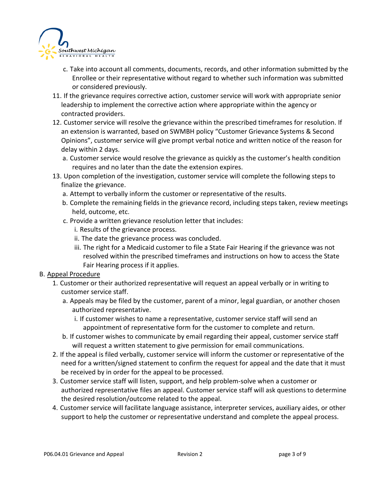

- c. Take into account all comments, documents, records, and other information submitted by the Enrollee or their representative without regard to whether such information was submitted or considered previously.
- 11. If the grievance requires corrective action, customer service will work with appropriate senior leadership to implement the corrective action where appropriate within the agency or contracted providers.
- 12. Customer service will resolve the grievance within the prescribed timeframes for resolution. If an extension is warranted, based on SWMBH policy "Customer Grievance Systems & Second Opinions", customer service will give prompt verbal notice and written notice of the reason for delay within 2 days.
	- a. Customer service would resolve the grievance as quickly as the customer's health condition requires and no later than the date the extension expires.
- 13. Upon completion of the investigation, customer service will complete the following steps to finalize the grievance.
	- a. Attempt to verbally inform the customer or representative of the results.
	- b. Complete the remaining fields in the grievance record, including steps taken, review meetings held, outcome, etc.
	- c. Provide a written grievance resolution letter that includes:
		- i. Results of the grievance process.
		- ii. The date the grievance process was concluded.
		- iii. The right for a Medicaid customer to file a State Fair Hearing if the grievance was not resolved within the prescribed timeframes and instructions on how to access the State Fair Hearing process if it applies.

## B. Appeal Procedure

- 1. Customer or their authorized representative will request an appeal verbally or in writing to customer service staff.
	- a. Appeals may be filed by the customer, parent of a minor, legal guardian, or another chosen authorized representative.
		- i. If customer wishes to name a representative, customer service staff will send an appointment of representative form for the customer to complete and return.
	- b. If customer wishes to communicate by email regarding their appeal, customer service staff will request a written statement to give permission for email communications.
- 2. If the appeal is filed verbally, customer service will inform the customer or representative of the need for a written/signed statement to confirm the request for appeal and the date that it must be received by in order for the appeal to be processed.
- 3. Customer service staff will listen, support, and help problem-solve when a customer or authorized representative files an appeal. Customer service staff will ask questions to determine the desired resolution/outcome related to the appeal.
- 4. Customer service will facilitate language assistance, interpreter services, auxiliary aides, or other support to help the customer or representative understand and complete the appeal process.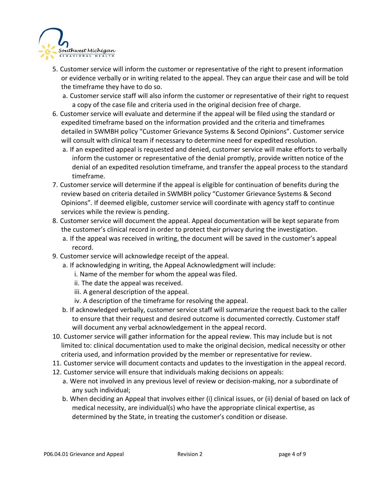

- 5. Customer service will inform the customer or representative of the right to present information or evidence verbally or in writing related to the appeal. They can argue their case and will be told the timeframe they have to do so.
	- a. Customer service staff will also inform the customer or representative of their right to request a copy of the case file and criteria used in the original decision free of charge.
- 6. Customer service will evaluate and determine if the appeal will be filed using the standard or expedited timeframe based on the information provided and the criteria and timeframes detailed in SWMBH policy "Customer Grievance Systems & Second Opinions". Customer service will consult with clinical team if necessary to determine need for expedited resolution.
	- a. If an expedited appeal is requested and denied, customer service will make efforts to verbally inform the customer or representative of the denial promptly, provide written notice of the denial of an expedited resolution timeframe, and transfer the appeal process to the standard timeframe.
- 7. Customer service will determine if the appeal is eligible for continuation of benefits during the review based on criteria detailed in SWMBH policy "Customer Grievance Systems & Second Opinions". If deemed eligible, customer service will coordinate with agency staff to continue services while the review is pending.
- 8. Customer service will document the appeal. Appeal documentation will be kept separate from the customer's clinical record in order to protect their privacy during the investigation.
	- a. If the appeal was received in writing, the document will be saved in the customer's appeal record.
- 9. Customer service will acknowledge receipt of the appeal.
	- a. If acknowledging in writing, the Appeal Acknowledgment will include:
		- i. Name of the member for whom the appeal was filed.
		- ii. The date the appeal was received.
		- iii. A general description of the appeal.
		- iv. A description of the timeframe for resolving the appeal.
	- b. If acknowledged verbally, customer service staff will summarize the request back to the caller to ensure that their request and desired outcome is documented correctly. Customer staff will document any verbal acknowledgement in the appeal record.
- 10. Customer service will gather information for the appeal review. This may include but is not limited to: clinical documentation used to make the original decision, medical necessity or other criteria used, and information provided by the member or representative for review.
- 11. Customer service will document contacts and updates to the investigation in the appeal record.
- 12. Customer service will ensure that individuals making decisions on appeals:
	- a. Were not involved in any previous level of review or decision-making, nor a subordinate of any such individual;
	- b. When deciding an Appeal that involves either (i) clinical issues, or (ii) denial of based on lack of medical necessity, are individual(s) who have the appropriate clinical expertise, as determined by the State, in treating the customer's condition or disease.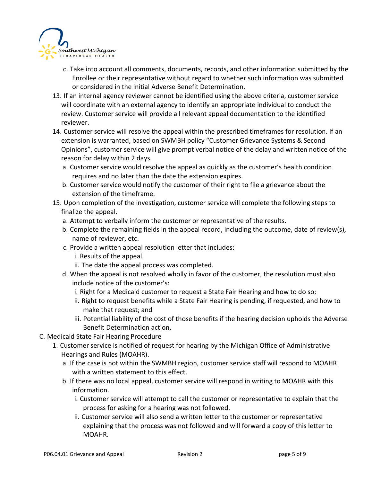

- c. Take into account all comments, documents, records, and other information submitted by the Enrollee or their representative without regard to whether such information was submitted or considered in the initial Adverse Benefit Determination.
- 13. If an internal agency reviewer cannot be identified using the above criteria, customer service will coordinate with an external agency to identify an appropriate individual to conduct the review. Customer service will provide all relevant appeal documentation to the identified reviewer.
- 14. Customer service will resolve the appeal within the prescribed timeframes for resolution. If an extension is warranted, based on SWMBH policy "Customer Grievance Systems & Second Opinions", customer service will give prompt verbal notice of the delay and written notice of the reason for delay within 2 days.
	- a. Customer service would resolve the appeal as quickly as the customer's health condition requires and no later than the date the extension expires.
	- b. Customer service would notify the customer of their right to file a grievance about the extension of the timeframe.
- 15. Upon completion of the investigation, customer service will complete the following steps to finalize the appeal.
	- a. Attempt to verbally inform the customer or representative of the results.
	- b. Complete the remaining fields in the appeal record, including the outcome, date of review(s), name of reviewer, etc.
	- c. Provide a written appeal resolution letter that includes:
		- i. Results of the appeal.
		- ii. The date the appeal process was completed.
	- d. When the appeal is not resolved wholly in favor of the customer, the resolution must also include notice of the customer's:
		- i. Right for a Medicaid customer to request a State Fair Hearing and how to do so;
		- ii. Right to request benefits while a State Fair Hearing is pending, if requested, and how to make that request; and
		- iii. Potential liability of the cost of those benefits if the hearing decision upholds the Adverse Benefit Determination action.
- C. Medicaid State Fair Hearing Procedure
	- 1. Customer service is notified of request for hearing by the Michigan Office of Administrative Hearings and Rules (MOAHR).
		- a. If the case is not within the SWMBH region, customer service staff will respond to MOAHR with a written statement to this effect.
		- b. If there was no local appeal, customer service will respond in writing to MOAHR with this information.
			- i. Customer service will attempt to call the customer or representative to explain that the process for asking for a hearing was not followed.
			- ii. Customer service will also send a written letter to the customer or representative explaining that the process was not followed and will forward a copy of this letter to MOAHR.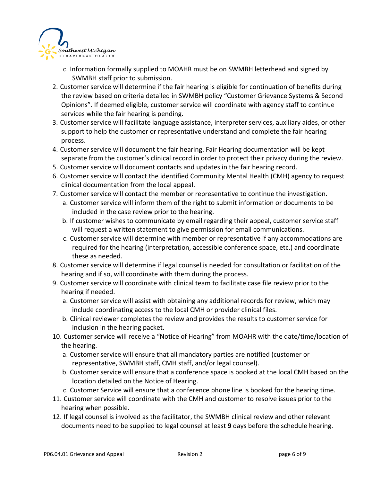

- c. Information formally supplied to MOAHR must be on SWMBH letterhead and signed by SWMBH staff prior to submission.
- 2. Customer service will determine if the fair hearing is eligible for continuation of benefits during the review based on criteria detailed in SWMBH policy "Customer Grievance Systems & Second Opinions". If deemed eligible, customer service will coordinate with agency staff to continue services while the fair hearing is pending.
- 3. Customer service will facilitate language assistance, interpreter services, auxiliary aides, or other support to help the customer or representative understand and complete the fair hearing process.
- 4. Customer service will document the fair hearing. Fair Hearing documentation will be kept separate from the customer's clinical record in order to protect their privacy during the review.
- 5. Customer service will document contacts and updates in the fair hearing record.
- 6. Customer service will contact the identified Community Mental Health (CMH) agency to request clinical documentation from the local appeal.
- 7. Customer service will contact the member or representative to continue the investigation.
	- a. Customer service will inform them of the right to submit information or documents to be included in the case review prior to the hearing.
	- b. If customer wishes to communicate by email regarding their appeal, customer service staff will request a written statement to give permission for email communications.
	- c. Customer service will determine with member or representative if any accommodations are required for the hearing (interpretation, accessible conference space, etc.) and coordinate these as needed.
- 8. Customer service will determine if legal counsel is needed for consultation or facilitation of the hearing and if so, will coordinate with them during the process.
- 9. Customer service will coordinate with clinical team to facilitate case file review prior to the hearing if needed.
	- a. Customer service will assist with obtaining any additional records for review, which may include coordinating access to the local CMH or provider clinical files.
	- b. Clinical reviewer completes the review and provides the results to customer service for inclusion in the hearing packet.
- 10. Customer service will receive a "Notice of Hearing" from MOAHR with the date/time/location of the hearing.
	- a. Customer service will ensure that all mandatory parties are notified (customer or representative, SWMBH staff, CMH staff, and/or legal counsel).
	- b. Customer service will ensure that a conference space is booked at the local CMH based on the location detailed on the Notice of Hearing.
	- c. Customer Service will ensure that a conference phone line is booked for the hearing time.
- 11. Customer service will coordinate with the CMH and customer to resolve issues prior to the hearing when possible.
- 12. If legal counsel is involved as the facilitator, the SWMBH clinical review and other relevant documents need to be supplied to legal counsel at least **9** days before the schedule hearing.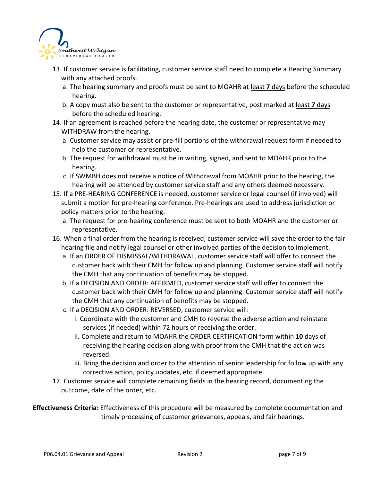

- 13. If customer service is facilitating, customer service staff need to complete a Hearing Summary with any attached proofs.
	- a. The hearing summary and proofs must be sent to MOAHR at least **7** days before the scheduled hearing.
	- b. A copy must also be sent to the customer or representative, post marked at least **7** days before the scheduled hearing.
- 14. If an agreement is reached before the hearing date, the customer or representative may WITHDRAW from the hearing.
	- a. Customer service may assist or pre-fill portions of the withdrawal request form if needed to help the customer or representative.
	- b. The request for withdrawal must be in writing, signed, and sent to MOAHR prior to the hearing.
	- c. If SWMBH does not receive a notice of Withdrawal from MOAHR prior to the hearing, the hearing will be attended by customer service staff and any others deemed necessary.
- 15. If a PRE-HEARING CONFERENCE is needed, customer service or legal counsel (if involved) will submit a motion for pre-hearing conference. Pre-hearings are used to address jurisdiction or policy matters prior to the hearing.
	- a. The request for pre-hearing conference must be sent to both MOAHR and the customer or representative.
- 16. When a final order from the hearing is received, customer service will save the order to the fair hearing file and notify legal counsel or other involved parties of the decision to implement.
	- a. If an ORDER OF DISMISSAL/WITHDRAWAL, customer service staff will offer to connect the customer back with their CMH for follow up and planning. Customer service staff will notify the CMH that any continuation of benefits may be stopped.
	- b. If a DECISION AND ORDER: AFFIRMED, customer service staff will offer to connect the customer back with their CMH for follow up and planning. Customer service staff will notify the CMH that any continuation of benefits may be stopped.
	- c. If a DECISION AND ORDER: REVERSED, customer service will:
		- i. Coordinate with the customer and CMH to reverse the adverse action and reinstate services (if needed) within 72 hours of receiving the order.
		- ii. Complete and return to MOAHR the ORDER CERTIFICATION form within **10** days of receiving the hearing decision along with proof from the CMH that the action was reversed.
		- iii. Bring the decision and order to the attention of senior leadership for follow up with any corrective action, policy updates, etc. if deemed appropriate.
- 17. Customer service will complete remaining fields in the hearing record, documenting the outcome, date of the order, etc.

**Effectiveness Criteria:** Effectiveness of this procedure will be measured by complete documentation and timely processing of customer grievances, appeals, and fair hearings.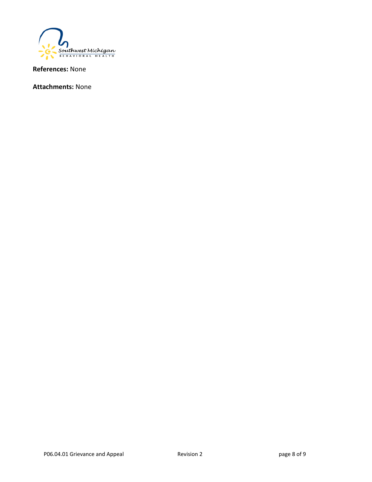

**References:** None

**Attachments:** None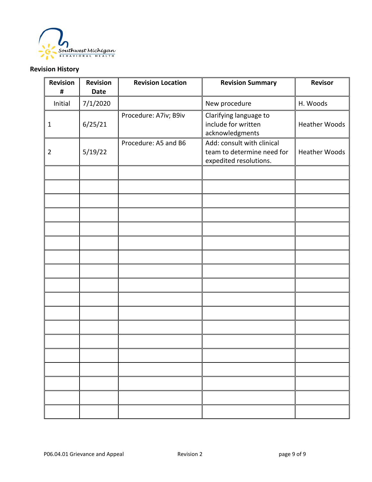

# **Revision History**

| Revision<br>#  | <b>Revision</b><br><b>Date</b> | <b>Revision Location</b> | <b>Revision Summary</b>                                                            | <b>Revisor</b>       |
|----------------|--------------------------------|--------------------------|------------------------------------------------------------------------------------|----------------------|
| Initial        | 7/1/2020                       |                          | New procedure                                                                      | H. Woods             |
| $\mathbf{1}$   | 6/25/21                        | Procedure: A7iv; B9iv    | Clarifying language to<br>include for written<br>acknowledgments                   | <b>Heather Woods</b> |
| $\overline{2}$ | 5/19/22                        | Procedure: A5 and B6     | Add: consult with clinical<br>team to determine need for<br>expedited resolutions. | <b>Heather Woods</b> |
|                |                                |                          |                                                                                    |                      |
|                |                                |                          |                                                                                    |                      |
|                |                                |                          |                                                                                    |                      |
|                |                                |                          |                                                                                    |                      |
|                |                                |                          |                                                                                    |                      |
|                |                                |                          |                                                                                    |                      |
|                |                                |                          |                                                                                    |                      |
|                |                                |                          |                                                                                    |                      |
|                |                                |                          |                                                                                    |                      |
|                |                                |                          |                                                                                    |                      |
|                |                                |                          |                                                                                    |                      |
|                |                                |                          |                                                                                    |                      |
|                |                                |                          |                                                                                    |                      |
|                |                                |                          |                                                                                    |                      |
|                |                                |                          |                                                                                    |                      |
|                |                                |                          |                                                                                    |                      |
|                |                                |                          |                                                                                    |                      |
|                |                                |                          |                                                                                    |                      |